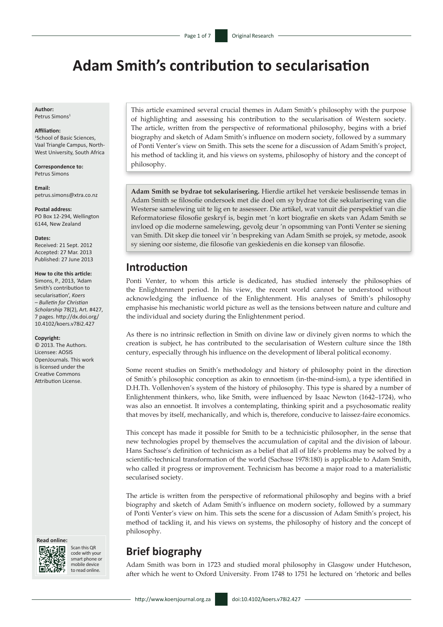# **Adam Smith's contribution to secularisation**

**Author:** Petrus Simons<sup>1</sup>

#### **Affiliation:**

1 School of Basic Sciences, Vaal Triangle Campus, North-West University, South Africa

**Correspondence to:** Petrus Simons

**Email:** [petrus.simons@xtra.co.nz](mailto:petrus.simons%40xtra.co.nz?subject=)

**Postal address:** PO Box 12-294, Wellington 6144, New Zealand

#### **Dates:**

Received: 21 Sept. 2012 Accepted: 27 Mar. 2013 Published: 27 June 2013

#### **How to cite this article:**

Simons, P., 2013, 'Adam Smith's contribution to secularisation', *Koers – Bulletin for Christian Scholarship* 78(2), Art. #427, 7 pages. [http://dx.doi.org/](http://dx.doi.org/10.4102/koers.v78i2.427)  [10.4102/koers.v78i2.427](http://dx.doi.org/10.4102/koers.v78i2.427)

#### **Copyright:**

© 2013. The Authors. Licensee: AOSIS OpenJournals. This work is licensed under the Creative Commons Attribution License.





Scan this QR code with your smart phone or mobile device to read online.

This article examined several crucial themes in Adam Smith's philosophy with the purpose of highlighting and assessing his contribution to the secularisation of Western society. The article, written from the perspective of reformational philosophy, begins with a brief biography and sketch of Adam Smith's influence on modern society, followed by a summary of Ponti Venter's view on Smith. This sets the scene for a discussion of Adam Smith's project, his method of tackling it, and his views on systems, philosophy of history and the concept of philosophy.

**Adam Smith se bydrae tot sekularisering.** Hierdie artikel het verskeie beslissende temas in Adam Smith se filosofie ondersoek met die doel om sy bydrae tot die sekularisering van die Westerse samelewing uit te lig en te assesseer. Die artikel, wat vanuit die perspektief van die Reformatoriese filosofie geskryf is, begin met 'n kort biografie en skets van Adam Smith se invloed op die moderne samelewing, gevolg deur 'n opsomming van Ponti Venter se siening van Smith. Dit skep die toneel vir 'n bespreking van Adam Smith se projek, sy metode, asook sy siening oor sisteme, die filosofie van geskiedenis en die konsep van filosofie.

### **Introduction**

Ponti Venter, to whom this article is dedicated, has studied intensely the philosophies of the Enlightenment period. In his view, the recent world cannot be understood without acknowledging the influence of the Enlightenment. His analyses of Smith's philosophy emphasise his mechanistic world picture as well as the tensions between nature and culture and the individual and society during the Enlightenment period.

As there is no intrinsic reflection in Smith on divine law or divinely given norms to which the creation is subject, he has contributed to the secularisation of Western culture since the 18th century, especially through his influence on the development of liberal political economy.

Some recent studies on Smith's methodology and history of philosophy point in the direction of Smith's philosophic conception as akin to ennoetism (in-the-mind-ism), a type identified in D.H.Th. Vollenhoven's system of the history of philosophy. This type is shared by a number of Enlightenment thinkers, who, like Smith, were influenced by Isaac Newton (1642–1724), who was also an ennoetist. It involves a contemplating, thinking spirit and a psychosomatic reality that moves by itself, mechanically, and which is, therefore, conducive to laissez-faire economics.

This concept has made it possible for Smith to be a technicistic philosopher, in the sense that new technologies propel by themselves the accumulation of capital and the division of labour. Hans Sachsse's definition of technicism as a belief that all of life's problems may be solved by a scientific-technical transformation of the world (Sachsse 1978:180) is applicable to Adam Smith, who called it progress or improvement. Technicism has become a major road to a materialistic secularised society.

The article is written from the perspective of reformational philosophy and begins with a brief biography and sketch of Adam Smith's influence on modern society, followed by a summary of Ponti Venter's view on him. This sets the scene for a discussion of Adam Smith's project, his method of tackling it, and his views on systems, the philosophy of history and the concept of philosophy.

# **Brief biography**

Adam Smith was born in 1723 and studied moral philosophy in Glasgow under Hutcheson, after which he went to Oxford University. From 1748 to 1751 he lectured on 'rhetoric and belles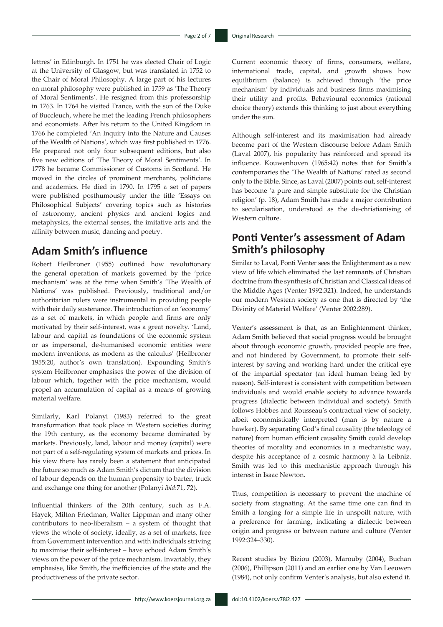lettres' in Edinburgh. In 1751 he was elected Chair of Logic at the University of Glasgow, but was translated in 1752 to the Chair of Moral Philosophy. A large part of his lectures on moral philosophy were published in 1759 as 'The Theory of Moral Sentiments'. He resigned from this professorship in 1763. In 1764 he visited France, with the son of the Duke of Buccleuch, where he met the leading French philosophers and economists. After his return to the United Kingdom in 1766 he completed 'An Inquiry into the Nature and Causes of the Wealth of Nations', which was first published in 1776. He prepared not only four subsequent editions, but also five new editions of 'The Theory of Moral Sentiments'. In 1778 he became Commissioner of Customs in Scotland. He moved in the circles of prominent merchants, politicians and academics. He died in 1790. In 1795 a set of papers were published posthumously under the title 'Essays on Philosophical Subjects' covering topics such as histories of astronomy, ancient physics and ancient logics and metaphysics, the external senses, the imitative arts and the affinity between music, dancing and poetry.

### **Adam Smith's influence**

Robert Heilbroner (1955) outlined how revolutionary the general operation of markets governed by the 'price mechanism' was at the time when Smith's 'The Wealth of Nations' was published. Previously, traditional and/or authoritarian rulers were instrumental in providing people with their daily sustenance. The introduction of an 'economy' as a set of markets, in which people and firms are only motivated by their self-interest, was a great novelty. 'Land, labour and capital as foundations of the economic system or as impersonal, de-humanised economic entities were modern inventions, as modern as the calculus' (Heilbroner 1955:20, author's own translation). Expounding Smith's system Heilbroner emphasises the power of the division of labour which, together with the price mechanism, would propel an accumulation of capital as a means of growing material welfare.

Similarly, Karl Polanyi (1983) referred to the great transformation that took place in Western societies during the 19th century, as the economy became dominated by markets. Previously, land, labour and money (capital) were not part of a self-regulating system of markets and prices. In his view there has rarely been a statement that anticipated the future so much as Adam Smith's dictum that the division of labour depends on the human propensity to barter, truck and exchange one thing for another (Polanyi *ibid*:71, 72).

Influential thinkers of the 20th century, such as F.A. Hayek, Milton Friedman, Walter Lippman and many other contributors to neo-liberalism – a system of thought that views the whole of society, ideally, as a set of markets, free from Government intervention and with individuals striving to maximise their self-interest – have echoed Adam Smith's views on the power of the price mechanism. Invariably, they emphasise, like Smith, the inefficiencies of the state and the productiveness of the private sector.

Current economic theory of firms, consumers, welfare, international trade, capital, and growth shows how equilibrium (balance) is achieved through 'the price mechanism' by individuals and business firms maximising their utility and profits. Behavioural economics (rational choice theory) extends this thinking to just about everything under the sun.

Although self-interest and its maximisation had already become part of the Western discourse before Adam Smith (Laval 2007), his popularity has reinforced and spread its influence. Kouwenhoven (1965:42) notes that for Smith's contemporaries the 'The Wealth of Nations' rated as second only to the Bible. Since, as Laval (2007) points out, self-interest has become 'a pure and simple substitute for the Christian religion' (p. 18), Adam Smith has made a major contribution to secularisation, understood as the de-christianising of Western culture.

# **Ponti Venter's assessment of Adam Smith's philosophy**

Similar to Laval, Ponti Venter sees the Enlightenment as a new view of life which eliminated the last remnants of Christian doctrine from the synthesis of Christian and Classical ideas of the Middle Ages (Venter 1992:321). Indeed, he understands our modern Western society as one that is directed by 'the Divinity of Material Welfare' (Venter 2002:289).

Venter's assessment is that, as an Enlightenment thinker, Adam Smith believed that social progress would be brought about through economic growth, provided people are free, and not hindered by Government, to promote their selfinterest by saving and working hard under the critical eye of the impartial spectator (an ideal human being led by reason). Self-interest is consistent with competition between individuals and would enable society to advance towards progress (dialectic between individual and society). Smith follows Hobbes and Rousseau's contractual view of society, albeit economistically interpreted (man is by nature a hawker). By separating God's final causality (the teleology of nature) from human efficient causality Smith could develop theories of morality and economics in a mechanistic way, despite his acceptance of a cosmic harmony à la Leibniz. Smith was led to this mechanistic approach through his interest in Isaac Newton.

Thus, competition is necessary to prevent the machine of society from stagnating. At the same time one can find in Smith a longing for a simple life in unspoilt nature, with a preference for farming, indicating a dialectic between origin and progress or between nature and culture (Venter 1992:324–330).

Recent studies by Biziou (2003), Marouby (2004), Buchan (2006), Phillipson (2011) and an earlier one by Van Leeuwen (1984), not only confirm Venter's analysis, but also extend it.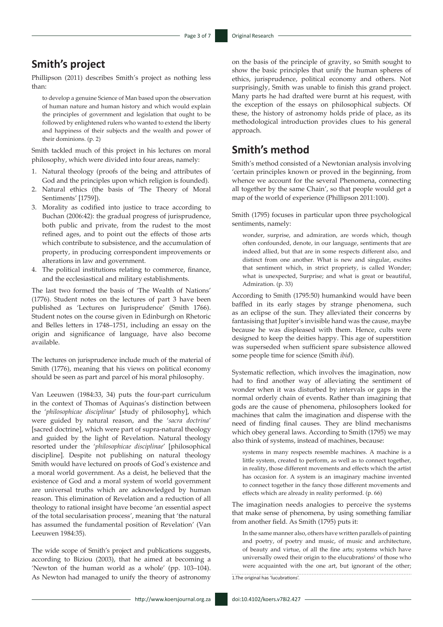# **Smith's project**

Phillipson (2011) describes Smith's project as nothing less than:

to develop a genuine Science of Man based upon the observation of human nature and human history and which would explain the principles of government and legislation that ought to be followed by enlightened rulers who wanted to extend the liberty and happiness of their subjects and the wealth and power of their dominions. (p. 2)

Smith tackled much of this project in his lectures on moral philosophy, which were divided into four areas, namely:

- 1. Natural theology (proofs of the being and attributes of God and the principles upon which religion is founded).
- 2. Natural ethics (the basis of 'The Theory of Moral Sentiments' [1759]).
- 3. Morality as codified into justice to trace according to Buchan (2006:42): the gradual progress of jurisprudence, both public and private, from the rudest to the most refined ages, and to point out the effects of those arts which contribute to subsistence, and the accumulation of property, in producing correspondent improvements or alterations in law and government.
- 4. The political institutions relating to commerce, finance, and the ecclesiastical and military establishments.

The last two formed the basis of 'The Wealth of Nations' (1776). Student notes on the lectures of part 3 have been published as 'Lectures on Jurisprudence' (Smith 1766). Student notes on the course given in Edinburgh on Rhetoric and Belles letters in 1748–1751, including an essay on the origin and significance of language, have also become available.

The lectures on jurisprudence include much of the material of Smith (1776), meaning that his views on political economy should be seen as part and parcel of his moral philosophy.

Van Leeuwen (1984:33, 34) puts the four-part curriculum in the context of Thomas of Aquinas's distinction between the '*philosophicae disciplinae*' [study of philosophy], which were guided by natural reason, and the '*sacra doctrina*' [sacred doctrine], which were part of supra-natural theology and guided by the light of Revelation. Natural theology resorted under the '*philosophicae disciplinae*' [philosophical discipline]. Despite not publishing on natural theology Smith would have lectured on proofs of God's existence and a moral world government. As a deist, he believed that the existence of God and a moral system of world government are universal truths which are acknowledged by human reason. This elimination of Revelation and a reduction of all theology to rational insight have become 'an essential aspect of the total secularisation process', meaning that 'the natural has assumed the fundamental position of Revelation' (Van Leeuwen 1984:35).

The wide scope of Smith's project and publications suggests, according to Biziou (2003), that he aimed at becoming a 'Newton of the human world as a whole' (pp. 103–104). As Newton had managed to unify the theory of astronomy on the basis of the principle of gravity, so Smith sought to show the basic principles that unify the human spheres of ethics, jurisprudence, political economy and others. Not surprisingly, Smith was unable to finish this grand project. Many parts he had drafted were burnt at his request, with the exception of the essays on philosophical subjects. Of these, the history of astronomy holds pride of place, as its methodological introduction provides clues to his general approach.

### **Smith's method**

Smith's method consisted of a Newtonian analysis involving 'certain principles known or proved in the beginning, from whence we account for the several Phenomena, connecting all together by the same Chain', so that people would get a map of the world of experience (Phillipson 2011:100).

Smith (1795) focuses in particular upon three psychological sentiments, namely:

wonder, surprise, and admiration, are words which, though often confounded, denote, in our language, sentiments that are indeed allied, but that are in some respects different also, and distinct from one another. What is new and singular, excites that sentiment which, in strict propriety, is called Wonder; what is unexpected, Surprise; and what is great or beautiful, Admiration. (p. 33)

According to Smith (1795:50) humankind would have been baffled in its early stages by strange phenomena, such as an eclipse of the sun. They alleviated their concerns by fantasising that Jupiter's invisible hand was the cause, maybe because he was displeased with them. Hence, cults were designed to keep the deities happy. This age of superstition was superseded when sufficient spare subsistence allowed some people time for science (Smith *ibid*).

Systematic reflection, which involves the imagination, now had to find another way of alleviating the sentiment of wonder when it was disturbed by intervals or gaps in the normal orderly chain of events. Rather than imagining that gods are the cause of phenomena, philosophers looked for machines that calm the imagination and dispense with the need of finding final causes. They are blind mechanisms which obey general laws. According to Smith (1795) we may also think of systems, instead of machines, because:

systems in many respects resemble machines. A machine is a little system, created to perform, as well as to connect together, in reality, those different movements and effects which the artist has occasion for. A system is an imaginary machine invented to connect together in the fancy those different movements and effects which are already in reality performed. (p. 66)

The imagination needs analogies to perceive the systems that make sense of phenomena, by using something familiar from another field. As Smith (1795) puts it:

In the same manner also, others have written parallels of painting and poetry, of poetry and music, of music and architecture, of beauty and virtue, of all the fine arts; systems which have universally owed their origin to the elucubrations<sup>1</sup> of those who were acquainted with the one art, but ignorant of the other; 1.The original has 'lucubrations'.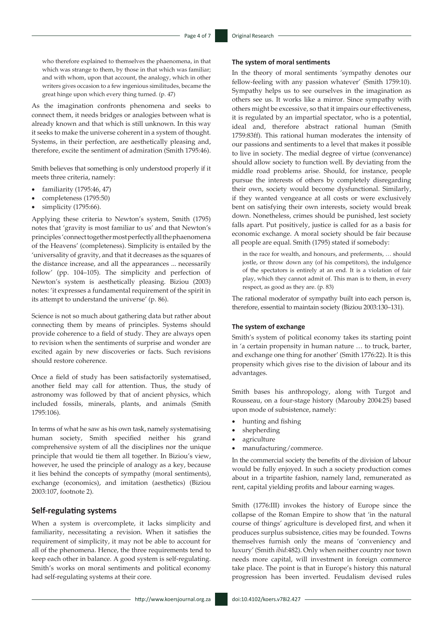who therefore explained to themselves the phaenomena, in that which was strange to them, by those in that which was familiar; and with whom, upon that account, the analogy, which in other writers gives occasion to a few ingenious similitudes, became the great hinge upon which every thing turned. (p. 47)

As the imagination confronts phenomena and seeks to connect them, it needs bridges or analogies between what is already known and that which is still unknown. In this way it seeks to make the universe coherent in a system of thought. Systems, in their perfection, are aesthetically pleasing and, therefore, excite the sentiment of admiration (Smith 1795:46).

Smith believes that something is only understood properly if it meets three criteria, namely:

- familiarity (1795:46, 47)
- completeness (1795:50)
- simplicity (1795:66).

Applying these criteria to Newton's system, Smith (1795) notes that 'gravity is most familiar to us' and that Newton's principles 'connect together most perfectly all the phaenomena of the Heavens' (completeness). Simplicity is entailed by the 'universality of gravity, and that it decreases as the squares of the distance increase, and all the appearances ... necessarily follow' (pp. 104–105). The simplicity and perfection of Newton's system is aesthetically pleasing. Biziou (2003) notes: 'it expresses a fundamental requirement of the spirit in its attempt to understand the universe' (p. 86).

Science is not so much about gathering data but rather about connecting them by means of principles. Systems should provide coherence to a field of study. They are always open to revision when the sentiments of surprise and wonder are excited again by new discoveries or facts. Such revisions should restore coherence.

Once a field of study has been satisfactorily systematised, another field may call for attention. Thus, the study of astronomy was followed by that of ancient physics, which included fossils, minerals, plants, and animals (Smith 1795:106).

In terms of what he saw as his own task, namely systematising human society, Smith specified neither his grand comprehensive system of all the disciplines nor the unique principle that would tie them all together. In Biziou's view, however, he used the principle of analogy as a key, because it lies behind the concepts of sympathy (moral sentiments), exchange (economics), and imitation (aesthetics) (Biziou 2003:107, footnote 2).

#### **Self-regulating systems**

When a system is overcomplete, it lacks simplicity and familiarity, necessitating a revision. When it satisfies the requirement of simplicity, it may not be able to account for all of the phenomena. Hence, the three requirements tend to keep each other in balance. A good system is self-regulating. Smith's works on moral sentiments and political economy had self-regulating systems at their core.

#### **The system of moral sentiments**

In the theory of moral sentiments 'sympathy denotes our fellow-feeling with any passion whatever' (Smith 1759:10). Sympathy helps us to see ourselves in the imagination as others see us. It works like a mirror. Since sympathy with others might be excessive, so that it impairs our effectiveness, it is regulated by an impartial spectator, who is a potential, ideal and, therefore abstract rational human (Smith 1759:83ff). This rational human moderates the intensity of our passions and sentiments to a level that makes it possible to live in society. The medial degree of virtue (convenance) should allow society to function well. By deviating from the middle road problems arise. Should, for instance, people pursue the interests of others by completely disregarding their own, society would become dysfunctional. Similarly, if they wanted vengeance at all costs or were exclusively bent on satisfying their own interests, society would break down. Nonetheless, crimes should be punished, lest society falls apart. Put positively, justice is called for as a basis for economic exchange. A moral society should be fair because all people are equal. Smith (1795) stated if somebody:

in the race for wealth, and honours, and preferments, … should jostle, or throw down any (of his competitors), the indulgence of the spectators is entirely at an end. It is a violation of fair play, which they cannot admit of. This man is to them, in every respect, as good as they are. (p. 83)

The rational moderator of sympathy built into each person is, therefore, essential to maintain society (Biziou 2003:130–131).

#### **The system of exchange**

Smith's system of political economy takes its starting point in 'a certain propensity in human nature … to truck, barter, and exchange one thing for another' (Smith 1776:22). It is this propensity which gives rise to the division of labour and its advantages.

Smith bases his anthropology, along with Turgot and Rousseau, on a four-stage history (Marouby 2004:25) based upon mode of subsistence, namely:

- hunting and fishing
- shepherding
- agriculture
- manufacturing/commerce.

In the commercial society the benefits of the division of labour would be fully enjoyed. In such a society production comes about in a tripartite fashion, namely land, remunerated as rent, capital yielding profits and labour earning wages.

Smith (1776:III) invokes the history of Europe since the collapse of the Roman Empire to show that 'in the natural course of things' agriculture is developed first, and when it produces surplus subsistence, cities may be founded. Towns themselves furnish only the means of 'conveniency and luxury' (Smith *ibid*:482). Only when neither country nor town needs more capital, will investment in foreign commerce take place. The point is that in Europe's history this natural progression has been inverted. Feudalism devised rules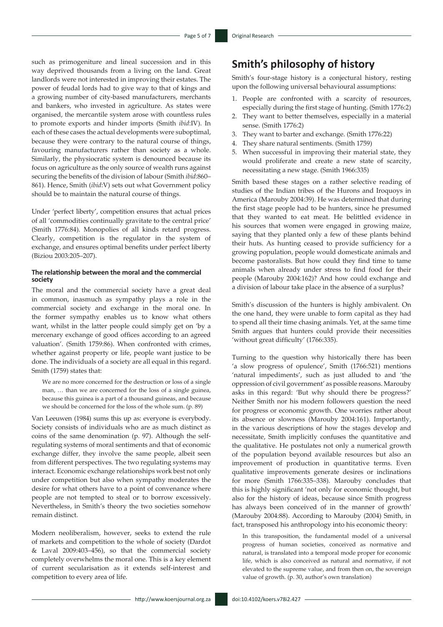such as primogeniture and lineal succession and in this way deprived thousands from a living on the land. Great landlords were not interested in improving their estates. The power of feudal lords had to give way to that of kings and a growing number of city-based manufacturers, merchants and bankers, who invested in agriculture. As states were organised, the mercantile system arose with countless rules to promote exports and hinder imports (Smith *ibid*:IV). In each of these cases the actual developments were suboptimal, because they were contrary to the natural course of things, favouring manufacturers rather than society as a whole. Similarly, the physiocratic system is denounced because its focus on agriculture as the only source of wealth runs against securing the benefits of the division of labour (Smith *ibid*:860– 861). Hence, Smith (*ibid*:V) sets out what Government policy should be to maintain the natural course of things.

Under 'perfect liberty', competition ensures that actual prices of all 'commodities continually gravitate to the central price' (Smith 1776:84). Monopolies of all kinds retard progress. Clearly, competition is the regulator in the system of exchange, and ensures optimal benefits under perfect liberty (Biziou 2003:205–207).

#### **The relationship between the moral and the commercial society**

The moral and the commercial society have a great deal in common, inasmuch as sympathy plays a role in the commercial society and exchange in the moral one. In the former sympathy enables us to know what others want, whilst in the latter people could simply get on 'by a mercenary exchange of good offices according to an agreed valuation'. (Smith 1759:86). When confronted with crimes, whether against property or life, people want justice to be done. The individuals of a society are all equal in this regard. Smith (1759) states that:

We are no more concerned for the destruction or loss of a single man, … than we are concerned for the loss of a single guinea, because this guinea is a part of a thousand guineas, and because we should be concerned for the loss of the whole sum. (p. 89)

Van Leeuwen (1984) sums this up as: everyone is everybody. Society consists of individuals who are as much distinct as coins of the same denomination (p. 97). Although the selfregulating systems of moral sentiments and that of economic exchange differ, they involve the same people, albeit seen from different perspectives. The two regulating systems may interact. Economic exchange relationships work best not only under competition but also when sympathy moderates the desire for what others have to a point of convenance where people are not tempted to steal or to borrow excessively. Nevertheless, in Smith's theory the two societies somehow remain distinct.

Modern neoliberalism, however, seeks to extend the rule of markets and competition to the whole of society (Dardot & Laval 2009:403–456), so that the commercial society completely overwhelms the moral one. This is a key element of current secularisation as it extends self-interest and competition to every area of life.

### **Smith's philosophy of history**

Smith's four-stage history is a conjectural history, resting upon the following universal behavioural assumptions:

- 1. People are confronted with a scarcity of resources, especially during the first stage of hunting. (Smith 1776:2)
- 2. They want to better themselves, especially in a material sense. (Smith 1776:2)
- 3. They want to barter and exchange. (Smith 1776:22)
- 4. They share natural sentiments. (Smith 1759)
- 5. When successful in improving their material state, they would proliferate and create a new state of scarcity, necessitating a new stage. (Smith 1966:335)

Smith based these stages on a rather selective reading of studies of the Indian tribes of the Hurons and Iroquoys in America (Marouby 2004:39). He was determined that during the first stage people had to be hunters, since he presumed that they wanted to eat meat. He belittled evidence in his sources that women were engaged in growing maize, saying that they planted only a few of these plants behind their huts. As hunting ceased to provide sufficiency for a growing population, people would domesticate animals and become pastoralists. But how could they find time to tame animals when already under stress to find food for their people (Marouby 2004:162)? And how could exchange and a division of labour take place in the absence of a surplus?

Smith's discussion of the hunters is highly ambivalent. On the one hand, they were unable to form capital as they had to spend all their time chasing animals. Yet, at the same time Smith argues that hunters could provide their necessities 'without great difficulty' (1766:335).

Turning to the question why historically there has been 'a slow progress of opulence', Smith (1766:521) mentions 'natural impediments', such as just alluded to and 'the oppression of civil government' as possible reasons. Marouby asks in this regard: 'But why should there be progress?' Neither Smith nor his modern followers question the need for progress or economic growth. One worries rather about its absence or slowness (Marouby 2004:161). Importantly, in the various descriptions of how the stages develop and necessitate, Smith implicitly confuses the quantitative and the qualitative. He postulates not only a numerical growth of the population beyond available resources but also an improvement of production in quantitative terms. Even qualitative improvements generate desires or inclinations for more (Smith 1766:335–338). Marouby concludes that this is highly significant 'not only for economic thought, but also for the history of ideas, because since Smith progress has always been conceived of in the manner of growth' (Marouby 2004:88). According to Marouby (2004) Smith, in fact, transposed his anthropology into his economic theory:

In this transposition, the fundamental model of a universal progress of human societies, conceived as normative and natural, is translated into a temporal mode proper for economic life, which is also conceived as natural and normative, if not elevated to the supreme value, and from then on, the sovereign value of growth. (p. 30, author's own translation)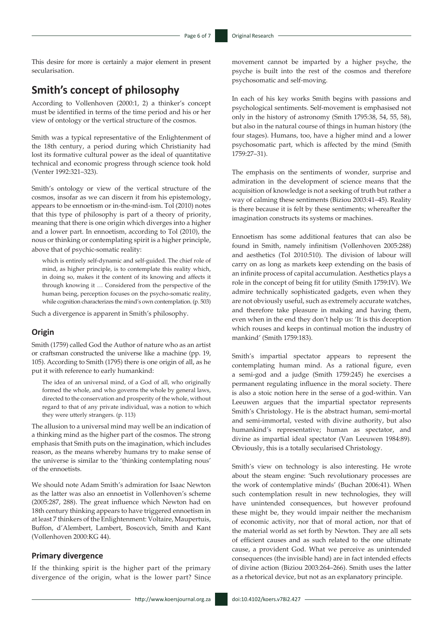This desire for more is certainly a major element in present secularisation.

# **Smith's concept of philosophy**

According to Vollenhoven (2000:1, 2) a thinker's concept must be identified in terms of the time period and his or her view of ontology or the vertical structure of the cosmos.

Smith was a typical representative of the Enlightenment of the 18th century, a period during which Christianity had lost its formative cultural power as the ideal of quantitative technical and economic progress through science took hold (Venter 1992:321–323).

Smith's ontology or view of the vertical structure of the cosmos, insofar as we can discern it from his epistemology, appears to be ennoetism or in-the-mind-ism. Tol (2010) notes that this type of philosophy is part of a theory of priority, meaning that there is one origin which diverges into a higher and a lower part. In ennoetism, according to Tol (2010), the nous or thinking or contemplating spirit is a higher principle, above that of psychic-somatic reality:

which is entirely self-dynamic and self-guided. The chief role of mind, as higher principle, is to contemplate this reality which, in doing so, makes it the content of its knowing and affects it through knowing it … Considered from the perspective of the human being, perception focuses on the psycho-somatic reality, while cognition characterizes the mind's own contemplation. (p. 503)

Such a divergence is apparent in Smith's philosophy.

#### **Origin**

Smith (1759) called God the Author of nature who as an artist or craftsman constructed the universe like a machine (pp. 19, 105). According to Smith (1795) there is one origin of all, as he put it with reference to early humankind:

The idea of an universal mind, of a God of all, who originally formed the whole, and who governs the whole by general laws, directed to the conservation and prosperity of the whole, without regard to that of any private individual, was a notion to which they were utterly strangers. (p. 113)

The allusion to a universal mind may well be an indication of a thinking mind as the higher part of the cosmos. The strong emphasis that Smith puts on the imagination, which includes reason, as the means whereby humans try to make sense of the universe is similar to the 'thinking contemplating nous' of the ennoetists.

We should note Adam Smith's admiration for Isaac Newton as the latter was also an ennoetist in Vollenhoven's scheme (2005:287, 288). The great influence which Newton had on 18th century thinking appears to have triggered ennoetism in at least 7 thinkers of the Enlightenment: Voltaire, Maupertuis, Buffon, d'Alembert, Lambert, Boscovich, Smith and Kant (Vollenhoven 2000:KG 44).

#### **Primary divergence**

If the thinking spirit is the higher part of the primary divergence of the origin, what is the lower part? Since

movement cannot be imparted by a higher psyche, the psyche is built into the rest of the cosmos and therefore psychosomatic and self-moving.

In each of his key works Smith begins with passions and psychological sentiments. Self-movement is emphasised not only in the history of astronomy (Smith 1795:38, 54, 55, 58), but also in the natural course of things in human history (the four stages). Humans, too, have a higher mind and a lower psychosomatic part, which is affected by the mind (Smith 1759:27–31).

The emphasis on the sentiments of wonder, surprise and admiration in the development of science means that the acquisition of knowledge is not a seeking of truth but rather a way of calming these sentiments (Biziou 2003:41–45). Reality is there because it is felt by these sentiments; whereafter the imagination constructs its systems or machines.

Ennoetism has some additional features that can also be found in Smith, namely infinitism (Vollenhoven 2005:288) and aesthetics (Tol 2010:510). The division of labour will carry on as long as markets keep extending on the basis of an infinite process of capital accumulation. Aesthetics plays a role in the concept of being fit for utility (Smith 1759:IV). We admire technically sophisticated gadgets, even when they are not obviously useful, such as extremely accurate watches, and therefore take pleasure in making and having them, even when in the end they don't help us: 'It is this deception which rouses and keeps in continual motion the industry of mankind' (Smith 1759:183).

Smith's impartial spectator appears to represent the contemplating human mind. As a rational figure, even a semi-god and a judge (Smith 1759:245) he exercises a permanent regulating influence in the moral society. There is also a stoic notion here in the sense of a god-within. Van Leeuwen argues that the impartial spectator represents Smith's Christology. He is the abstract human, semi-mortal and semi-immortal, vested with divine authority, but also humankind's representative; human as spectator, and divine as impartial ideal spectator (Van Leeuwen 1984:89). Obviously, this is a totally secularised Christology.

Smith's view on technology is also interesting. He wrote about the steam engine: 'Such revolutionary processes are the work of contemplative minds' (Buchan 2006:41). When such contemplation result in new technologies, they will have unintended consequences, but however profound these might be, they would impair neither the mechanism of economic activity, nor that of moral action, nor that of the material world as set forth by Newton. They are all sets of efficient causes and as such related to the one ultimate cause, a provident God. What we perceive as unintended consequences (the invisible hand) are in fact intended effects of divine action (Biziou 2003:264–266). Smith uses the latter as a rhetorical device, but not as an explanatory principle.